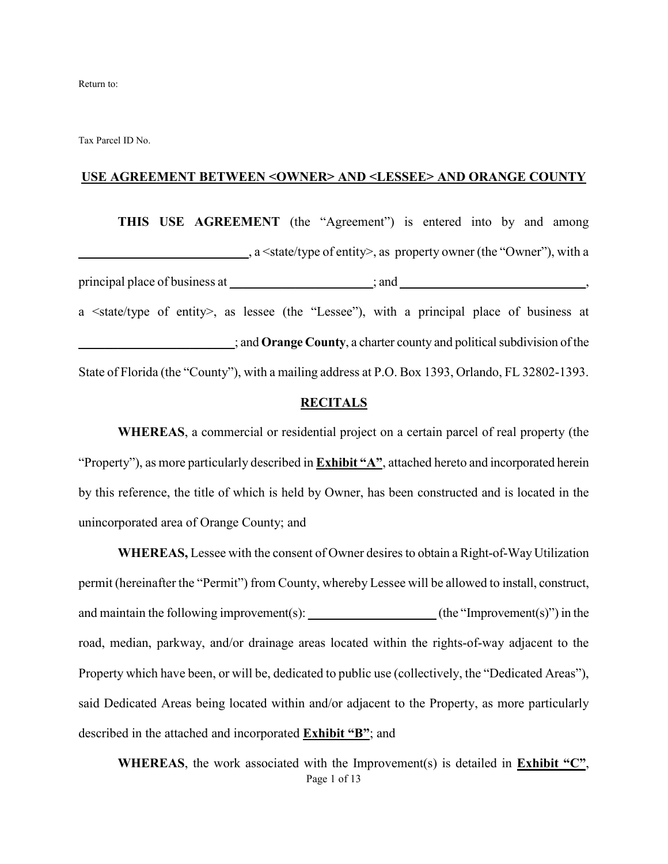Tax Parcel ID No.

#### **USE AGREEMENT BETWEEN <OWNER> AND <LESSEE> AND ORANGE COUNTY**

**THIS USE AGREEMENT** (the "Agreement") is entered into by and among **\_\_\_\_\_\_\_\_\_\_\_\_\_\_\_\_\_\_\_\_\_\_\_\_\_\_**, a <state/type of entity>, as property owner (the "Owner"), with a principal place of business at \_\_\_\_\_\_\_\_\_\_\_\_\_\_\_\_\_\_\_; and \_\_\_\_\_\_\_\_\_\_\_\_\_\_\_\_\_\_\_\_\_\_\_\_, a <state/type of entity>, as lessee (the "Lessee"), with a principal place of business at \_\_\_\_\_\_\_\_\_\_\_\_\_\_\_\_\_\_\_\_\_\_\_\_; and **Orange County**, a charter county and political subdivision of the State of Florida (the "County"), with a mailing address at P.O. Box 1393, Orlando, FL 32802-1393.

#### **RECITALS**

**WHEREAS**, a commercial or residential project on a certain parcel of real property (the "Property"), as more particularly described in **Exhibit "A"**, attached hereto and incorporated herein by this reference, the title of which is held by Owner, has been constructed and is located in the unincorporated area of Orange County; and

**WHEREAS,** Lessee with the consent of Owner desires to obtain a Right-of-Way Utilization permit (hereinafter the "Permit") from County, whereby Lessee will be allowed to install, construct, and maintain the following improvement(s): **\_\_\_\_\_\_\_\_\_\_\_\_\_\_\_\_\_\_\_\_** (the "Improvement(s)") in the road, median, parkway, and/or drainage areas located within the rights-of-way adjacent to the Property which have been, or will be, dedicated to public use (collectively, the "Dedicated Areas"), said Dedicated Areas being located within and/or adjacent to the Property, as more particularly described in the attached and incorporated **Exhibit "B"**; and

Page 1 of 13 **WHEREAS**, the work associated with the Improvement(s) is detailed in **Exhibit "C"**,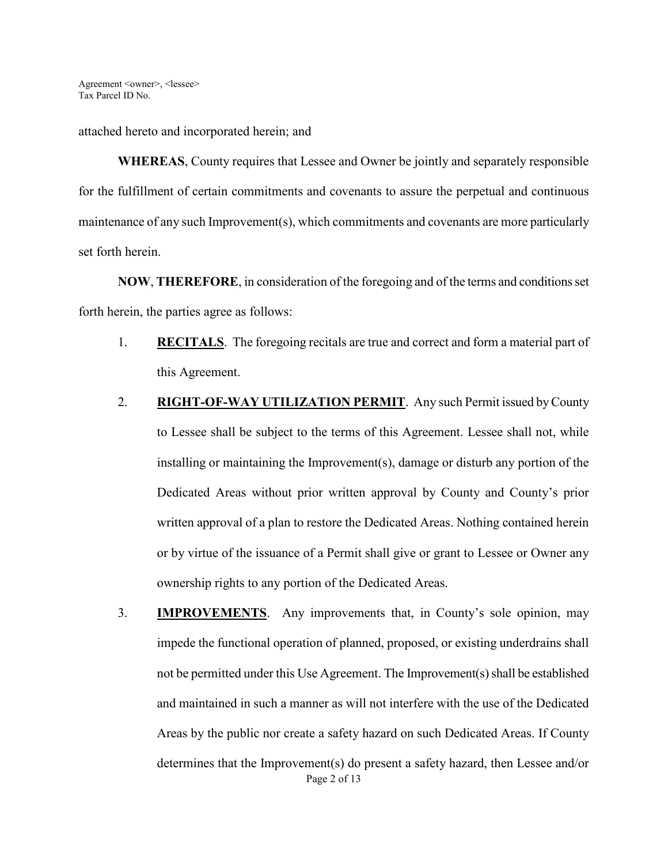attached hereto and incorporated herein; and

**WHEREAS**, County requires that Lessee and Owner be jointly and separately responsible for the fulfillment of certain commitments and covenants to assure the perpetual and continuous maintenance of any such Improvement(s), which commitments and covenants are more particularly set forth herein.

**NOW**, **THEREFORE**, in consideration of the foregoing and of the terms and conditions set forth herein, the parties agree as follows:

- 1. **RECITALS**. The foregoing recitals are true and correct and form a material part of this Agreement.
- 2. **RIGHT-OF-WAY UTILIZATION PERMIT**. Any such Permit issued by County to Lessee shall be subject to the terms of this Agreement. Lessee shall not, while installing or maintaining the Improvement(s), damage or disturb any portion of the Dedicated Areas without prior written approval by County and County's prior written approval of a plan to restore the Dedicated Areas. Nothing contained herein or by virtue of the issuance of a Permit shall give or grant to Lessee or Owner any ownership rights to any portion of the Dedicated Areas.
- Page 2 of 13 3. **IMPROVEMENTS**. Any improvements that, in County's sole opinion, may impede the functional operation of planned, proposed, or existing underdrains shall not be permitted under this Use Agreement. The Improvement(s) shall be established and maintained in such a manner as will not interfere with the use of the Dedicated Areas by the public nor create a safety hazard on such Dedicated Areas. If County determines that the Improvement(s) do present a safety hazard, then Lessee and/or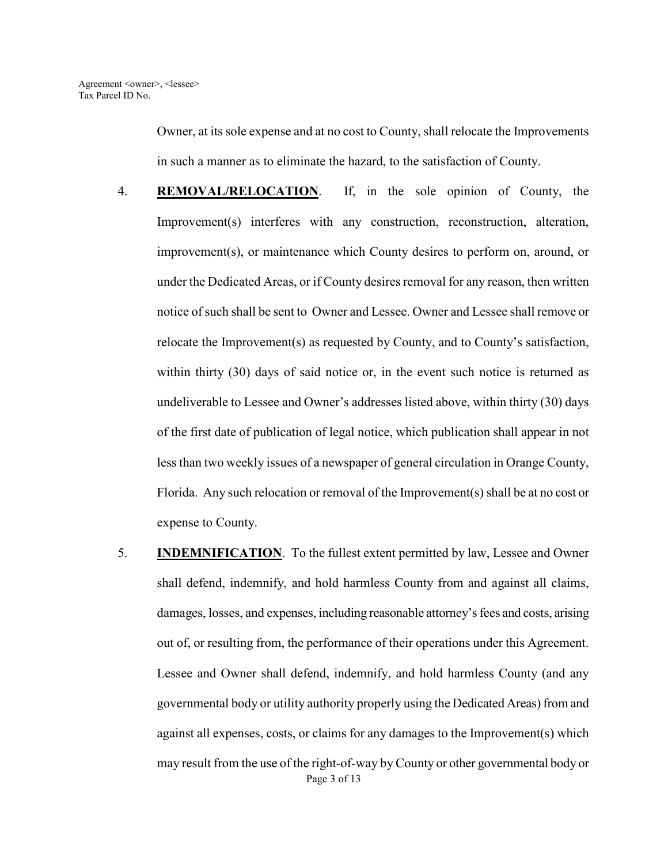Owner, at its sole expense and at no cost to County, shall relocate the Improvements in such a manner as to eliminate the hazard, to the satisfaction of County.

- 4. **REMOVAL/RELOCATION**. If, in the sole opinion of County, the Improvement(s) interferes with any construction, reconstruction, alteration, improvement(s), or maintenance which County desires to perform on, around, or under the Dedicated Areas, or if County desires removal for any reason, then written notice of such shall be sent to Owner and Lessee. Owner and Lessee shall remove or relocate the Improvement(s) as requested by County, and to County's satisfaction, within thirty (30) days of said notice or, in the event such notice is returned as undeliverable to Lessee and Owner's addresses listed above, within thirty (30) days of the first date of publication of legal notice, which publication shall appear in not less than two weekly issues of a newspaper of general circulation in Orange County, Florida. Any such relocation or removal of the Improvement(s) shall be at no cost or expense to County.
- Page 3 of 13 5. **INDEMNIFICATION**. To the fullest extent permitted by law, Lessee and Owner shall defend, indemnify, and hold harmless County from and against all claims, damages, losses, and expenses, including reasonable attorney's fees and costs, arising out of, or resulting from, the performance of their operations under this Agreement. Lessee and Owner shall defend, indemnify, and hold harmless County (and any governmental body or utility authority properly using the Dedicated Areas) from and against all expenses, costs, or claims for any damages to the Improvement(s) which may result from the use of the right-of-way by County or other governmental body or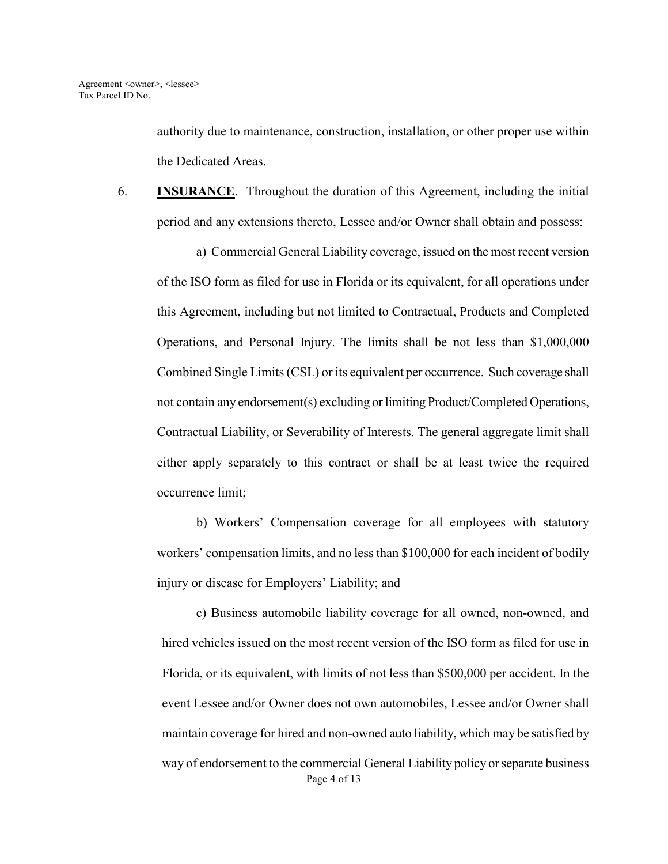authority due to maintenance, construction, installation, or other proper use within the Dedicated Areas.

6. **INSURANCE**. Throughout the duration of this Agreement, including the initial period and any extensions thereto, Lessee and/or Owner shall obtain and possess:

a) Commercial General Liability coverage, issued on the most recent version of the ISO form as filed for use in Florida or its equivalent, for all operations under this Agreement, including but not limited to Contractual, Products and Completed Operations, and Personal Injury. The limits shall be not less than \$1,000,000 Combined Single Limits (CSL) or its equivalent per occurrence. Such coverage shall not contain any endorsement(s) excluding or limiting Product/Completed Operations, Contractual Liability, or Severability of Interests. The general aggregate limit shall either apply separately to this contract or shall be at least twice the required occurrence limit;

 b) Workers' Compensation coverage for all employees with statutory workers' compensation limits, and no less than \$100,000 for each incident of bodily injury or disease for Employers' Liability; and

Page 4 of 13 c) Business automobile liability coverage for all owned, non-owned, and hired vehicles issued on the most recent version of the ISO form as filed for use in Florida, or its equivalent, with limits of not less than \$500,000 per accident. In the event Lessee and/or Owner does not own automobiles, Lessee and/or Owner shall maintain coverage for hired and non-owned auto liability, which may be satisfied by way of endorsement to the commercial General Liability policy or separate business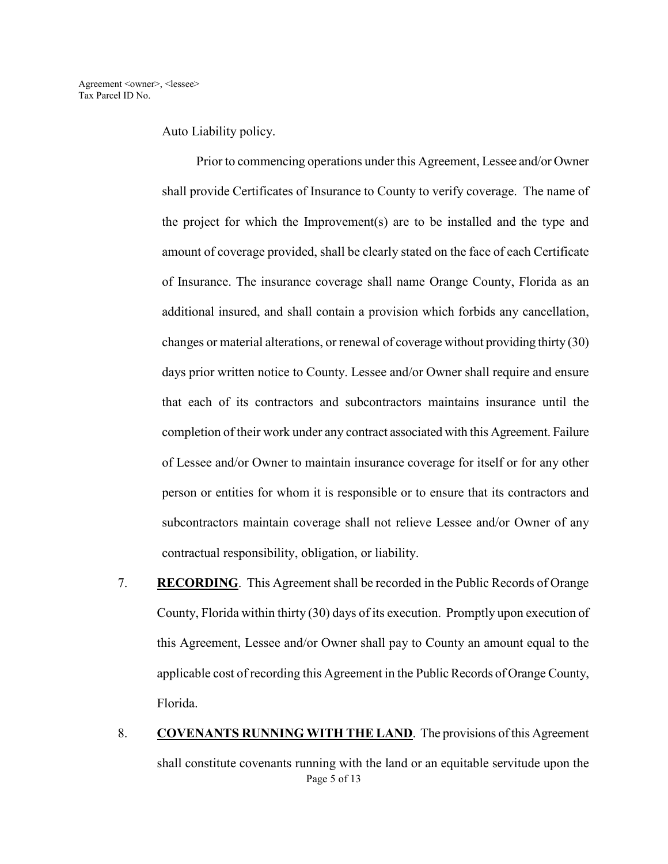Auto Liability policy.

Prior to commencing operations under this Agreement, Lessee and/or Owner shall provide Certificates of Insurance to County to verify coverage. The name of the project for which the Improvement(s) are to be installed and the type and amount of coverage provided, shall be clearly stated on the face of each Certificate of Insurance. The insurance coverage shall name Orange County, Florida as an additional insured, and shall contain a provision which forbids any cancellation, changes or material alterations, or renewal of coverage without providing thirty (30) days prior written notice to County. Lessee and/or Owner shall require and ensure that each of its contractors and subcontractors maintains insurance until the completion of their work under any contract associated with this Agreement. Failure of Lessee and/or Owner to maintain insurance coverage for itself or for any other person or entities for whom it is responsible or to ensure that its contractors and subcontractors maintain coverage shall not relieve Lessee and/or Owner of any contractual responsibility, obligation, or liability.

- 7. **RECORDING**. This Agreement shall be recorded in the Public Records of Orange County, Florida within thirty (30) days of its execution. Promptly upon execution of this Agreement, Lessee and/or Owner shall pay to County an amount equal to the applicable cost of recording this Agreement in the Public Records of Orange County, Florida.
- Page 5 of 13 8. COVENANTS RUNNING WITH THE LAND. The provisions of this Agreement shall constitute covenants running with the land or an equitable servitude upon the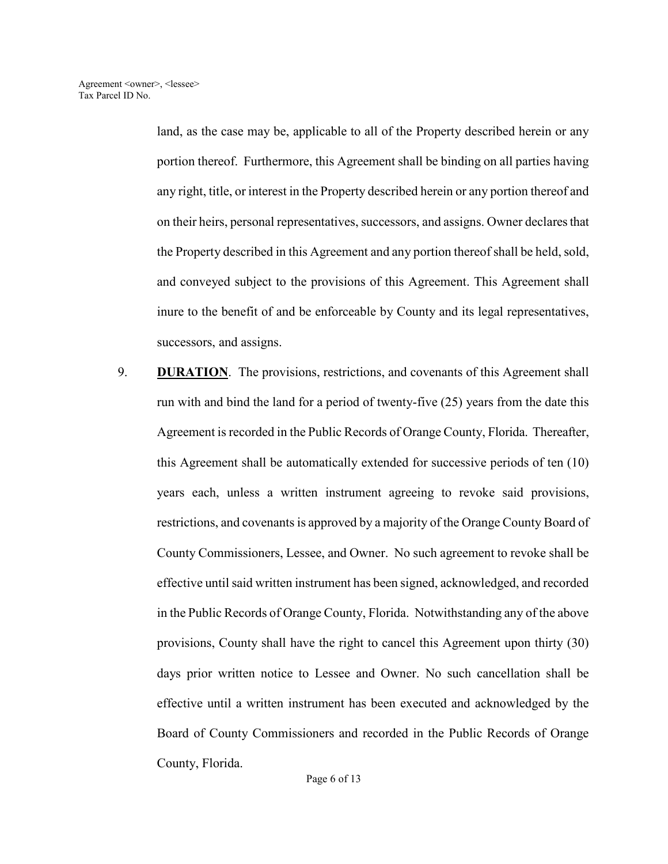land, as the case may be, applicable to all of the Property described herein or any portion thereof. Furthermore, this Agreement shall be binding on all parties having any right, title, or interest in the Property described herein or any portion thereof and on their heirs, personal representatives, successors, and assigns. Owner declares that the Property described in this Agreement and any portion thereof shall be held, sold, and conveyed subject to the provisions of this Agreement. This Agreement shall inure to the benefit of and be enforceable by County and its legal representatives, successors, and assigns.

9. **DURATION**. The provisions, restrictions, and covenants of this Agreement shall run with and bind the land for a period of twenty-five (25) years from the date this Agreement is recorded in the Public Records of Orange County, Florida. Thereafter, this Agreement shall be automatically extended for successive periods of ten (10) years each, unless a written instrument agreeing to revoke said provisions, restrictions, and covenants is approved by a majority of the Orange County Board of County Commissioners, Lessee, and Owner. No such agreement to revoke shall be effective until said written instrument has been signed, acknowledged, and recorded in the Public Records of Orange County, Florida. Notwithstanding any of the above provisions, County shall have the right to cancel this Agreement upon thirty (30) days prior written notice to Lessee and Owner. No such cancellation shall be effective until a written instrument has been executed and acknowledged by the Board of County Commissioners and recorded in the Public Records of Orange County, Florida.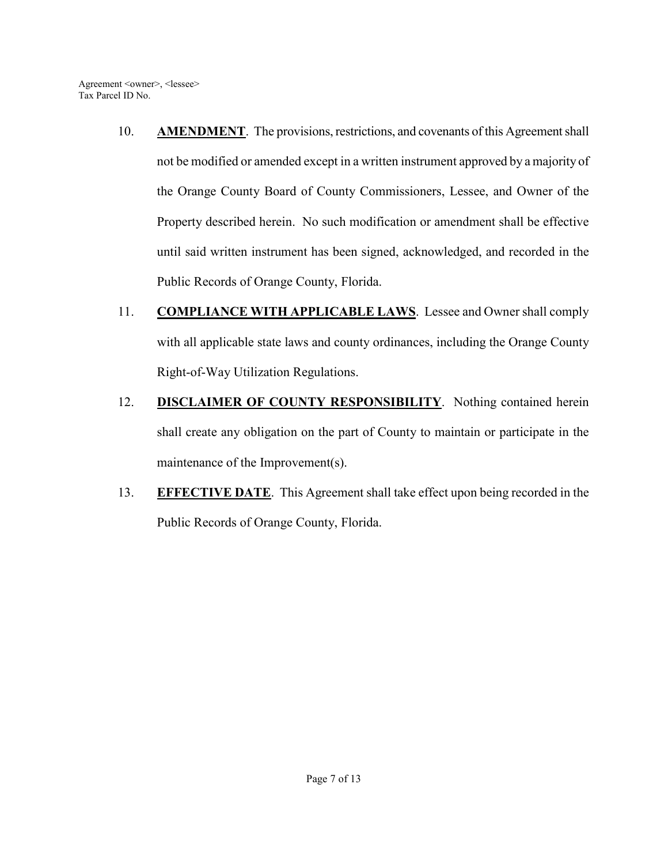- 10. **AMENDMENT**. The provisions, restrictions, and covenants of this Agreement shall not be modified or amended except in a written instrument approved by a majority of the Orange County Board of County Commissioners, Lessee, and Owner of the Property described herein. No such modification or amendment shall be effective until said written instrument has been signed, acknowledged, and recorded in the Public Records of Orange County, Florida.
- 11. **COMPLIANCE WITH APPLICABLE LAWS**. Lessee and Owner shall comply with all applicable state laws and county ordinances, including the Orange County Right-of-Way Utilization Regulations.
- 12. **DISCLAIMER OF COUNTY RESPONSIBILITY**. Nothing contained herein shall create any obligation on the part of County to maintain or participate in the maintenance of the Improvement(s).
- 13. **EFFECTIVE DATE**. This Agreement shall take effect upon being recorded in the Public Records of Orange County, Florida.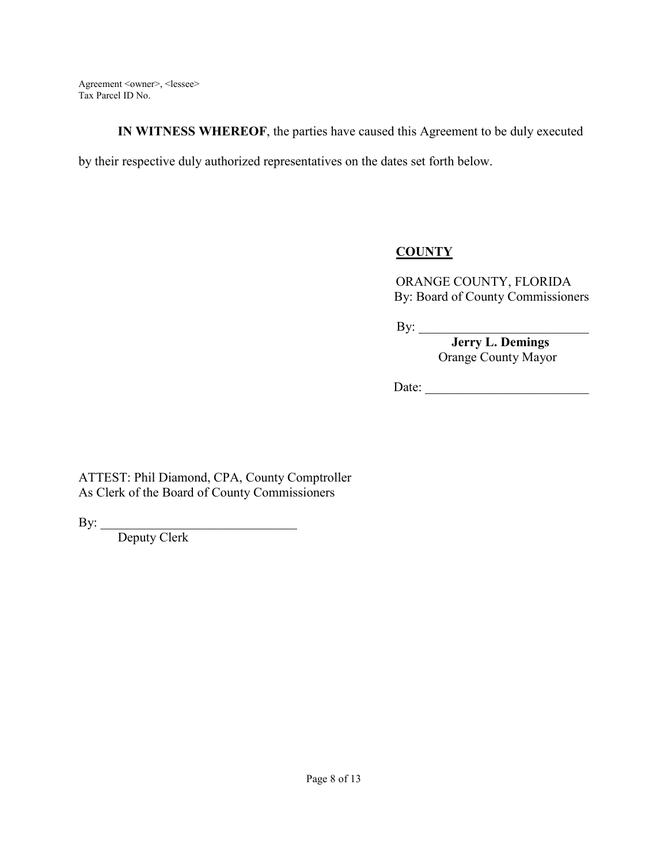**IN WITNESS WHEREOF**, the parties have caused this Agreement to be duly executed

by their respective duly authorized representatives on the dates set forth below.

# **COUNTY**

ORANGE COUNTY, FLORIDA By: Board of County Commissioners

 $\mathbf{By:}$ 

 **Jerry L. Demings**  Orange County Mayor

Date: \_\_\_\_\_\_\_\_\_\_\_\_\_\_\_\_\_\_\_\_\_\_\_\_\_

ATTEST: Phil Diamond, CPA, County Comptroller As Clerk of the Board of County Commissioners

By: \_\_\_\_\_\_\_\_\_\_\_\_\_\_\_\_\_\_\_\_\_\_\_\_\_\_\_\_\_\_

Deputy Clerk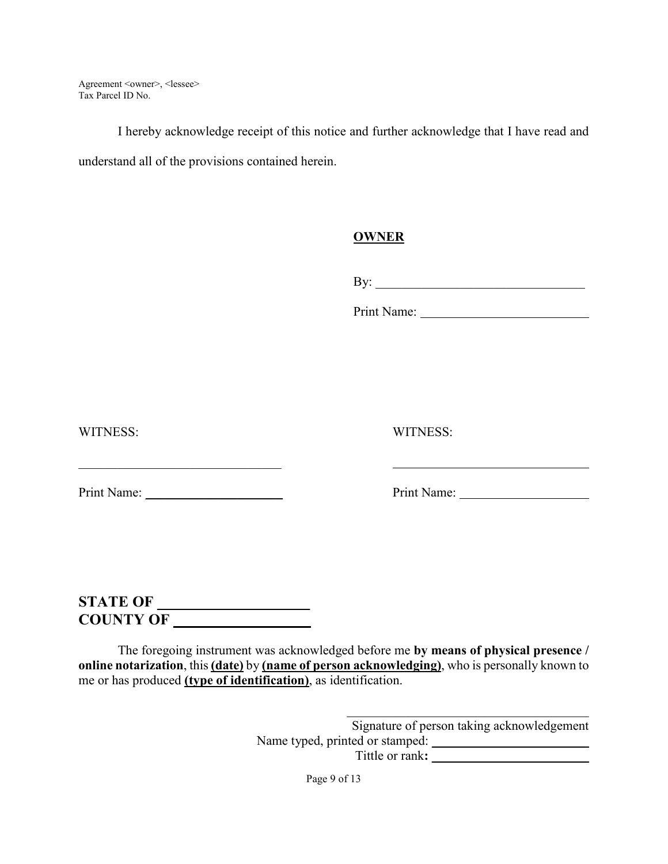I hereby acknowledge receipt of this notice and further acknowledge that I have read and understand all of the provisions contained herein.

### **OWNER**

By: \_\_\_\_\_\_\_\_\_\_\_\_\_\_\_\_\_\_\_\_\_\_\_\_\_\_\_\_\_\_\_\_

Print Name:

WITNESS: WITNESS:

Print Name: \_\_\_\_\_\_\_\_\_\_\_\_\_\_\_\_\_\_\_\_\_ Print Name:

# **STATE OF \_\_\_\_\_\_\_\_\_\_\_\_\_\_\_\_\_\_ COUNTY OF \_\_\_\_\_\_\_\_\_\_\_\_\_\_\_\_\_\_**

The foregoing instrument was acknowledged before me **by means of physical presence / online notarization**, this **(date)** by **(name of person acknowledging)**, who is personally known to me or has produced **(type of identification)**, as identification.

> Signature of person taking acknowledgement Name typed, printed or stamped:  $\Box$ Tittle or rank**: \_\_\_\_\_\_\_\_\_\_\_\_\_\_\_\_\_\_\_\_\_\_\_\_**

> > Page 9 of 13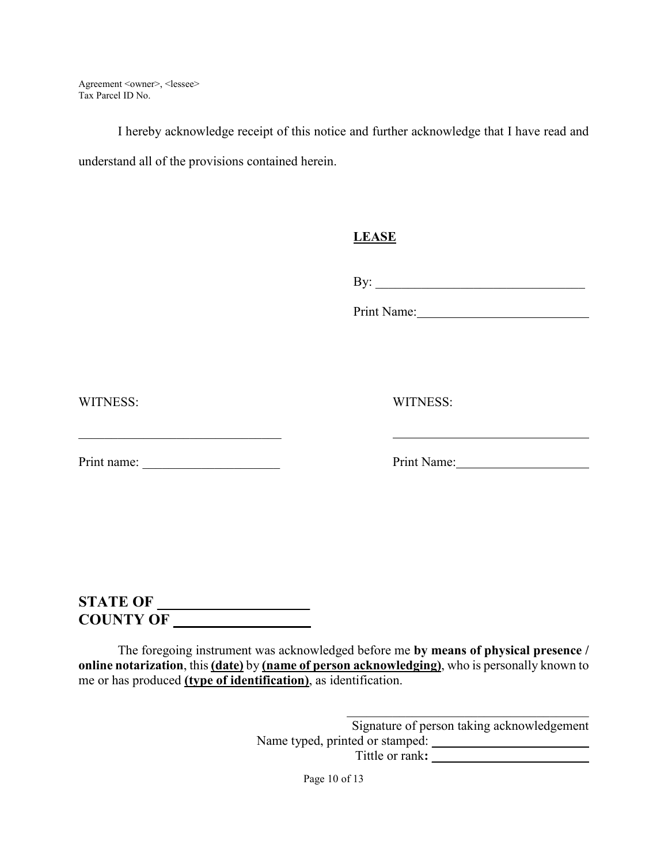I hereby acknowledge receipt of this notice and further acknowledge that I have read and understand all of the provisions contained herein.

### **LEASE**

By: \_\_\_\_\_\_\_\_\_\_\_\_\_\_\_\_\_\_\_\_\_\_\_\_\_\_\_\_\_\_\_\_

Print Name:

WITNESS: WITNESS:

Print name: \_\_\_\_\_\_\_\_\_\_\_\_\_\_\_\_\_\_\_\_\_ Print Name:

 $\mathcal{L}_\text{max}$  and  $\mathcal{L}_\text{max}$  and  $\mathcal{L}_\text{max}$  and  $\mathcal{L}_\text{max}$ 

# **STATE OF \_\_\_\_\_\_\_\_\_\_\_\_\_\_\_\_\_\_\_ COUNTY OF \_\_\_\_\_\_\_\_\_\_\_\_\_\_\_\_\_\_**

The foregoing instrument was acknowledged before me **by means of physical presence / online notarization**, this **(date)** by **(name of person acknowledging)**, who is personally known to me or has produced **(type of identification)**, as identification.

> Signature of person taking acknowledgement Name typed, printed or stamped:  $\Box$ Tittle or rank**: \_\_\_\_\_\_\_\_\_\_\_\_\_\_\_\_\_\_\_\_\_\_\_\_**

> > Page 10 of 13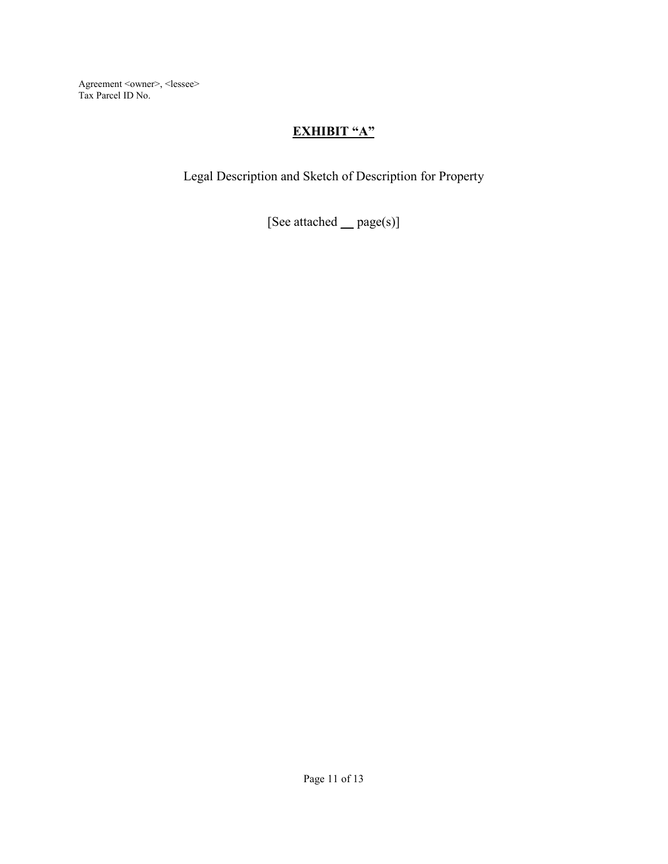## **EXHIBIT "A"**

Legal Description and Sketch of Description for Property

[See attached **\_\_** page(s)]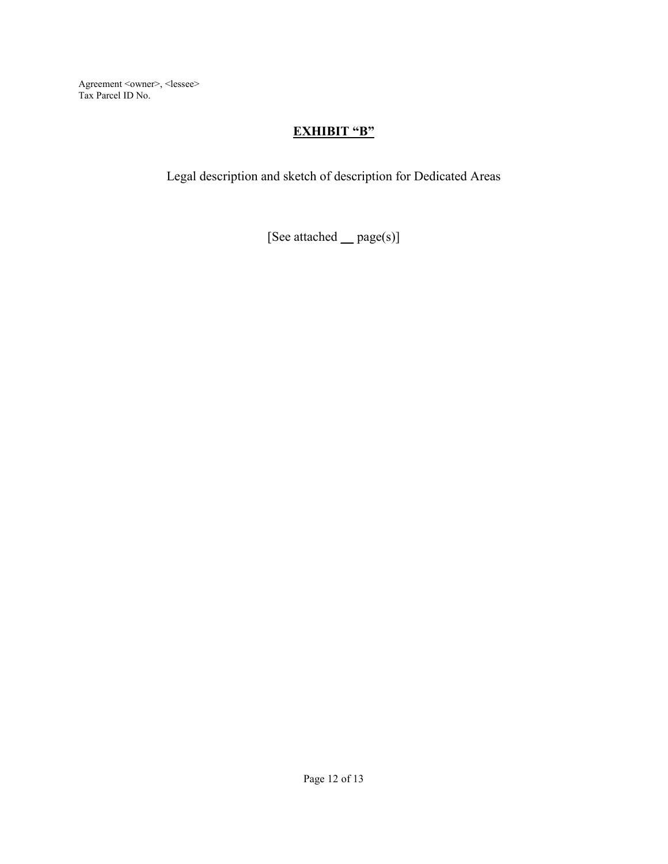## **EXHIBIT "B"**

Legal description and sketch of description for Dedicated Areas

[See attached **\_\_** page(s)]